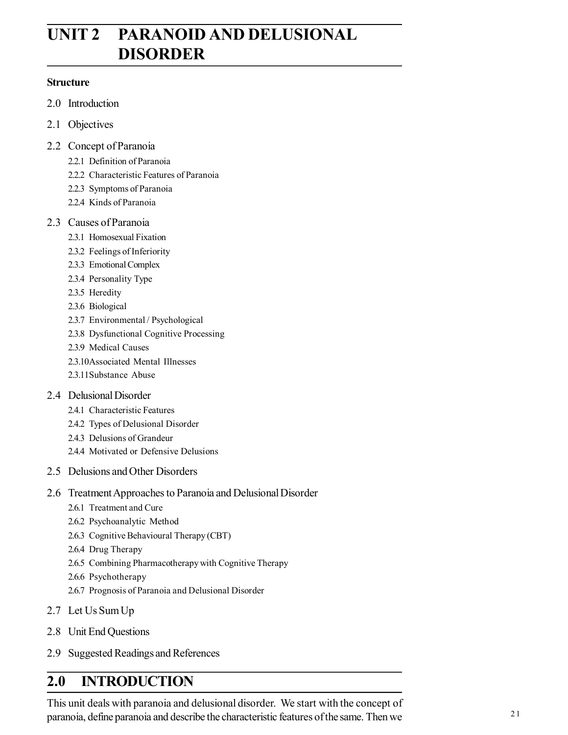# **UNIT 2 PARANOID AND DELUSIONAL DISORDER**

#### **Structure**

- 2.0 Introduction
- 2.1 Objectives
- 2.2 Concept of Paranoia
	- 2.2.1 Definition of Paranoia
	- 2.2.2 Characteristic Features of Paranoia
	- 2.2.3 Symptoms of Paranoia
	- 2.2.4 Kinds of Paranoia

#### 2.3 Causes of Paranoia

- 2.3.1 Homosexual Fixation
- 2.3.2 Feelings of Inferiority
- 2.3.3 Emotional Complex
- 2.3.4 Personality Type
- 2.3.5 Heredity
- 2.3.6 Biological
- 2.3.7 Environmental / Psychological
- 2.3.8 Dysfunctional Cognitive Processing
- 2.3.9 Medical Causes
- 2.3.10Associated Mental Illnesses
- 2.3.11Substance Abuse

#### 2.4 Delusional Disorder

- 2.4.1 Characteristic Features
- 2.4.2 Types of Delusional Disorder
- 2.4.3 Delusions of Grandeur
- 2.4.4 Motivated or Defensive Delusions
- 2.5 Delusions and Other Disorders
- 2.6 Treatment Approaches to Paranoia and Delusional Disorder
	- 2.6.1 Treatment and Cure
	- 2.6.2 Psychoanalytic Method
	- 2.6.3 Cognitive Behavioural Therapy (CBT)
	- 2.6.4 Drug Therapy
	- 2.6.5 Combining Pharmacotherapy with Cognitive Therapy
	- 2.6.6 Psychotherapy
	- 2.6.7 Prognosis of Paranoia and Delusional Disorder
- 2.7 Let Us Sum Up
- 2.8 Unit End Questions
- 2.9 Suggested Readings and References

# **2.0 INTRODUCTION**

This unit deals with paranoia and delusional disorder. We start with the concept of paranoia, define paranoia and describe the characteristic features of the same. Then we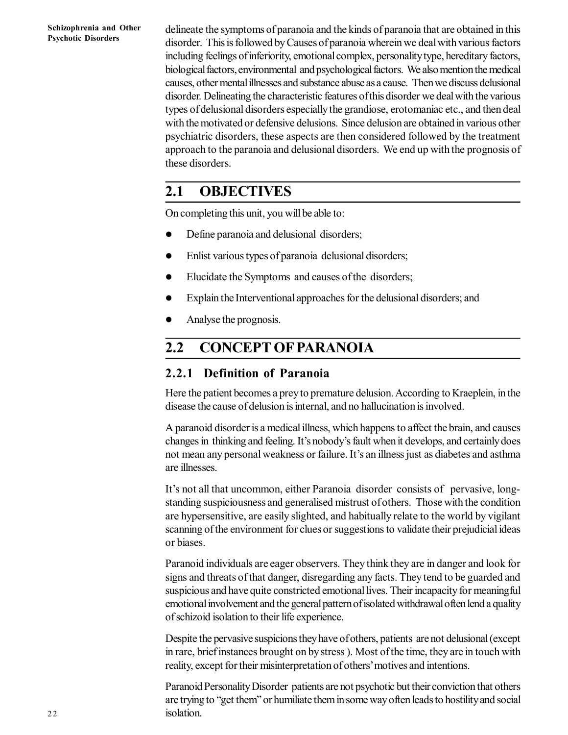delineate the symptoms of paranoia and the kinds of paranoia that are obtained in this disorder. This is followed by Causes of paranoia wherein we deal with various factors including feelings of inferiority, emotional complex, personality type, hereditary factors, biological factors, environmental and psychological factors. We also mention the medical causes, other mental illnesses and substance abuse as a cause. Then we discuss delusional disorder. Delineating the characteristic features of this disorder we deal with the various types of delusional disorders especially the grandiose, erotomaniac etc., and then deal with the motivated or defensive delusions. Since delusion are obtained in various other psychiatric disorders, these aspects are then considered followed by the treatment approach to the paranoia and delusional disorders. We end up with the prognosis of these disorders.

# **2.1 OBJECTIVES**

On completing this unit, you will be able to:

- Define paranoia and delusional disorders;
- Enlist various types of paranoia delusional disorders;
- Elucidate the Symptoms and causes of the disorders;
- Explain the Interventional approaches for the delusional disorders; and
- Analyse the prognosis.

# **2.2 CONCEPT OF PARANOIA**

### **2.2.1 Definition of Paranoia**

Here the patient becomes a prey to premature delusion. According to Kraeplein, in the disease the cause of delusion is internal, and no hallucination is involved.

A paranoid disorder is a medical illness, which happens to affect the brain, and causes changes in thinking and feeling. It's nobody's fault when it develops, and certainly does not mean any personal weakness or failure. It's an illness just as diabetes and asthma are illnesses.

It's not all that uncommon, either Paranoia disorder consists of pervasive, longstanding suspiciousness and generalised mistrust of others. Those with the condition are hypersensitive, are easily slighted, and habitually relate to the world by vigilant scanning of the environment for clues or suggestions to validate their prejudicial ideas or biases.

Paranoid individuals are eager observers. They think they are in danger and look for signs and threats of that danger, disregarding any facts. They tend to be guarded and suspicious and have quite constricted emotional lives. Their incapacity for meaningful emotional involvement and the general pattern of isolated withdrawal often lend a quality of schizoid isolation to their life experience.

Despite the pervasive suspicions they have of others, patients are not delusional (except in rare, brief instances brought on by stress ). Most of the time, they are in touch with reality, except for their misinterpretation of others' motives and intentions.

Paranoid Personality Disorder patients are not psychotic but their conviction that others are trying to "get them" or humiliate them in some way often leads to hostility and social isolation.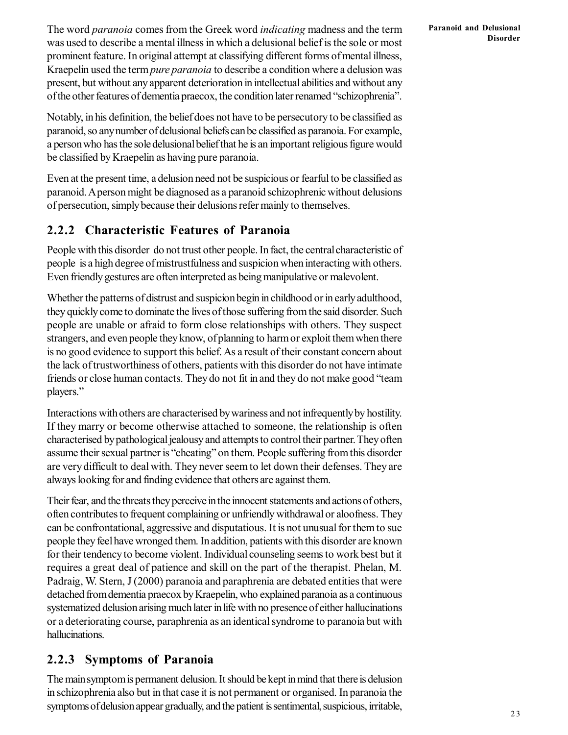The word *paranoia* comes from the Greek word *indicating* madness and the term was used to describe a mental illness in which a delusional belief is the sole or most prominent feature. In original attempt at classifying different forms of mental illness, Kraepelin used the term *pure paranoia* to describe a condition where a delusion was present, but without any apparent deterioration in intellectual abilities and without any of the other features of dementia praecox, the condition later renamed "schizophrenia".

Notably, in his definition, the belief does not have to be persecutory to be classified as paranoid, so any number of delusional beliefs can be classified as paranoia. For example, a person who has the sole delusional belief that he is an important religious figure would be classified by Kraepelin as having pure paranoia.

Even at the present time, a delusion need not be suspicious or fearful to be classified as paranoid. A person might be diagnosed as a paranoid schizophrenic without delusions of persecution, simply because their delusions refer mainly to themselves.

# **2.2.2 Characteristic Features of Paranoia**

People with this disorder do not trust other people. In fact, the central characteristic of people is a high degree of mistrustfulness and suspicion when interacting with others. Even friendly gestures are often interpreted as being manipulative or malevolent.

Whether the patterns of distrust and suspicion begin in childhood or in early adulthood, they quickly come to dominate the lives of those suffering from the said disorder. Such people are unable or afraid to form close relationships with others. They suspect strangers, and even people they know, of planning to harm or exploit them when there is no good evidence to support this belief. As a result of their constant concern about the lack of trustworthiness of others, patients with this disorder do not have intimate friends or close human contacts. They do not fit in and they do not make good "team players."

Interactions with others are characterised by wariness and not infrequently by hostility. If they marry or become otherwise attached to someone, the relationship is often characterised by pathological jealousy and attempts to control their partner. They often assume their sexual partner is "cheating" on them. People suffering from this disorder are very difficult to deal with. They never seem to let down their defenses. They are always looking for and finding evidence that others are against them.

Their fear, and the threats they perceive in the innocent statements and actions of others, often contributes to frequent complaining or unfriendly withdrawal or aloofness. They can be confrontational, aggressive and disputatious. It is not unusual for them to sue people they feel have wronged them. In addition, patients with this disorder are known for their tendency to become violent. Individual counseling seems to work best but it requires a great deal of patience and skill on the part of the therapist. Phelan, M. Padraig, W. Stern, J (2000) paranoia and paraphrenia are debated entities that were detached from dementia praecox by Kraepelin, who explained paranoia as a continuous systematized delusion arising much later in life with no presence of either hallucinations or a deteriorating course, paraphrenia as an identical syndrome to paranoia but with **hallucinations** 

# **2.2.3 Symptoms of Paranoia**

The main symptom is permanent delusion. It should be kept in mind that there is delusion in schizophrenia also but in that case it is not permanent or organised. In paranoia the symptoms of delusion appear gradually, and the patient is sentimental, suspicious, irritable,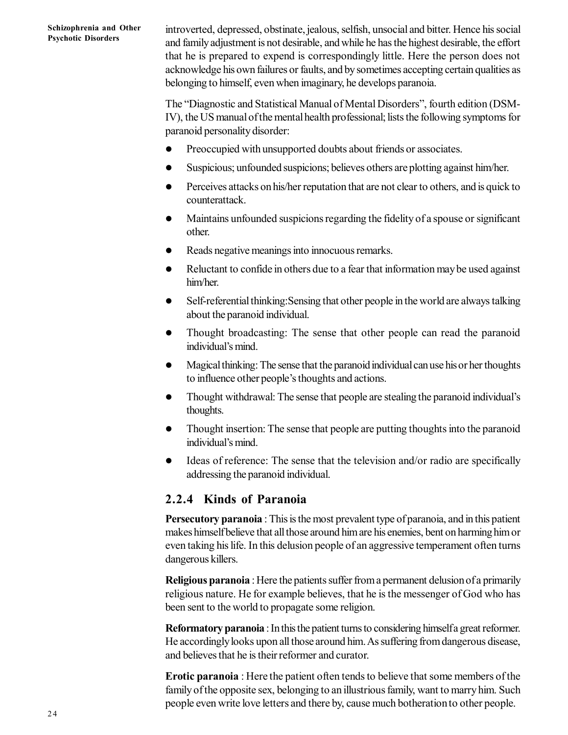introverted, depressed, obstinate, jealous, selfish, unsocial and bitter. Hence his social and family adjustment is not desirable, and while he has the highest desirable, the effort that he is prepared to expend is correspondingly little. Here the person does not acknowledge his own failures or faults, and by sometimes accepting certain qualities as belonging to himself, even when imaginary, he develops paranoia.

The "Diagnostic and Statistical Manual of Mental Disorders", fourth edition (DSM-IV), the US manual of the mental health professional; lists the following symptoms for paranoid personality disorder:

- Preoccupied with unsupported doubts about friends or associates.
- Suspicious; unfounded suspicions; believes others are plotting against him/her.
- Perceives attacks on his/her reputation that are not clear to others, and is quick to counterattack.
- Maintains unfounded suspicions regarding the fidelity of a spouse or significant other.
- Reads negative meanings into innocuous remarks.
- Reluctant to confide in others due to a fear that information may be used against him/her.
- Self-referential thinking:Sensing that other people in the world are always talking about the paranoid individual.
- Thought broadcasting: The sense that other people can read the paranoid individual's mind.
- Magical thinking: The sense that the paranoid individual can use his or her thoughts to influence other people's thoughts and actions.
- Thought withdrawal: The sense that people are stealing the paranoid individual's thoughts.
- Thought insertion: The sense that people are putting thoughts into the paranoid individual's mind.
- Ideas of reference: The sense that the television and/or radio are specifically addressing the paranoid individual.

#### **2.2.4 Kinds of Paranoia**

**Persecutory paranoia** : This is the most prevalent type of paranoia, and in this patient makes himself believe that all those around him are his enemies, bent on harming him or even taking his life. In this delusion people of an aggressive temperament often turns dangerous killers.

**Religious paranoia** : Here the patients suffer from a permanent delusion of a primarily religious nature. He for example believes, that he is the messenger of God who has been sent to the world to propagate some religion.

**Reformatory paranoia** : In this the patient turns to considering himself a great reformer. He accordingly looks upon all those around him. As suffering from dangerous disease, and believes that he is their reformer and curator.

**Erotic paranoia** : Here the patient often tends to believe that some members of the family of the opposite sex, belonging to an illustrious family, want to marry him. Such people even write love letters and there by, cause much botheration to other people.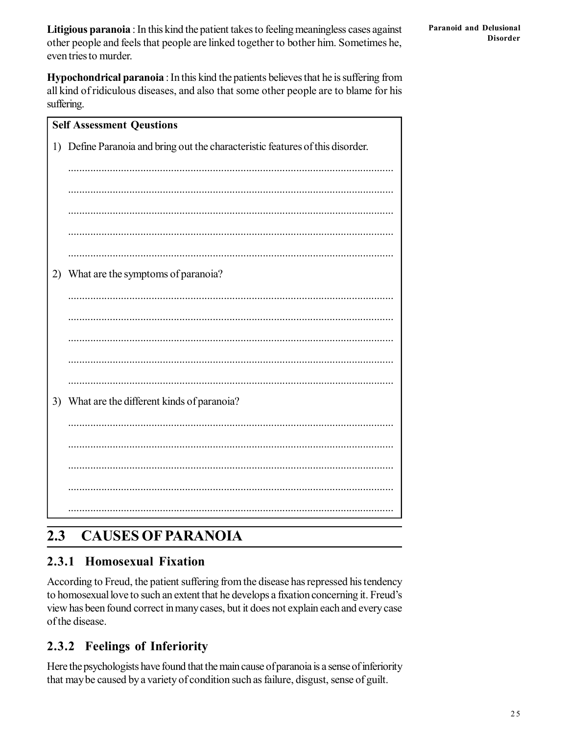**Litigious paranoia** : In this kind the patient takes to feeling meaningless cases against other people and feels that people are linked together to bother him. Sometimes he, even tries to murder.

**Hypochondrical paranoia** : In this kind the patients believes that he is suffering from all kind of ridiculous diseases, and also that some other people are to blame for his suffering.

| <b>Self Assessment Qeustions</b> |                                                                                |  |
|----------------------------------|--------------------------------------------------------------------------------|--|
|                                  | 1) Define Paranoia and bring out the characteristic features of this disorder. |  |
|                                  |                                                                                |  |
|                                  |                                                                                |  |
|                                  |                                                                                |  |
|                                  |                                                                                |  |
|                                  |                                                                                |  |
| 2)                               | What are the symptoms of paranoia?                                             |  |
|                                  |                                                                                |  |
|                                  |                                                                                |  |
|                                  |                                                                                |  |
|                                  |                                                                                |  |
|                                  |                                                                                |  |
| 3)                               | What are the different kinds of paranoia?                                      |  |
|                                  |                                                                                |  |
|                                  |                                                                                |  |
|                                  |                                                                                |  |
|                                  |                                                                                |  |
|                                  |                                                                                |  |

# **2.3 CAUSES OF PARANOIA**

# **2.3.1 Homosexual Fixation**

According to Freud, the patient suffering from the disease has repressed his tendency to homosexual love to such an extent that he develops a fixation concerning it. Freud's view has been found correct in many cases, but it does not explain each and every case of the disease.

# **2.3.2 Feelings of Inferiority**

Here the psychologists have found that the main cause of paranoia is a sense of inferiority that may be caused by a variety of condition such as failure, disgust, sense of guilt.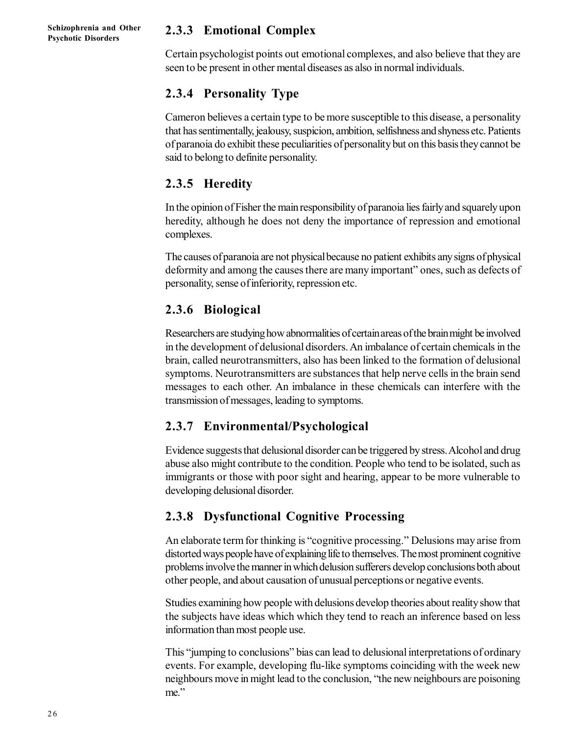#### **2.3.3 Emotional Complex**

Certain psychologist points out emotional complexes, and also believe that they are seen to be present in other mental diseases as also in normal individuals.

# **2.3.4 Personality Type**

Cameron believes a certain type to be more susceptible to this disease, a personality that has sentimentally, jealousy, suspicion, ambition, selfishness and shyness etc. Patients of paranoia do exhibit these peculiarities of personality but on this basis they cannot be said to belong to definite personality.

### **2.3.5 Heredity**

In the opinion of Fisher the main responsibility of paranoia lies fairly and squarely upon heredity, although he does not deny the importance of repression and emotional complexes.

The causes of paranoia are not physical because no patient exhibits any signs of physical deformity and among the causes there are many important" ones, such as defects of personality, sense of inferiority, repression etc.

### **2.3.6 Biological**

Researchers are studying how abnormalities of certain areas of the brain might be involved in the development of delusional disorders. An imbalance of certain chemicals in the brain, called neurotransmitters, also has been linked to the formation of delusional symptoms. Neurotransmitters are substances that help nerve cells in the brain send messages to each other. An imbalance in these chemicals can interfere with the transmission of messages, leading to symptoms.

#### **2.3.7 Environmental/Psychological**

Evidence suggests that delusional disorder can be triggered by stress. Alcohol and drug abuse also might contribute to the condition. People who tend to be isolated, such as immigrants or those with poor sight and hearing, appear to be more vulnerable to developing delusional disorder.

### **2.3.8 Dysfunctional Cognitive Processing**

An elaborate term for thinking is "cognitive processing." Delusions may arise from distorted ways people have of explaining life to themselves. The most prominent cognitive problems involve the manner in which delusion sufferers develop conclusions both about other people, and about causation of unusual perceptions or negative events.

Studies examining how people with delusions develop theories about reality show that the subjects have ideas which which they tend to reach an inference based on less information than most people use.

This "jumping to conclusions" bias can lead to delusional interpretations of ordinary events. For example, developing flu-like symptoms coinciding with the week new neighbours move in might lead to the conclusion, "the new neighbours are poisoning me."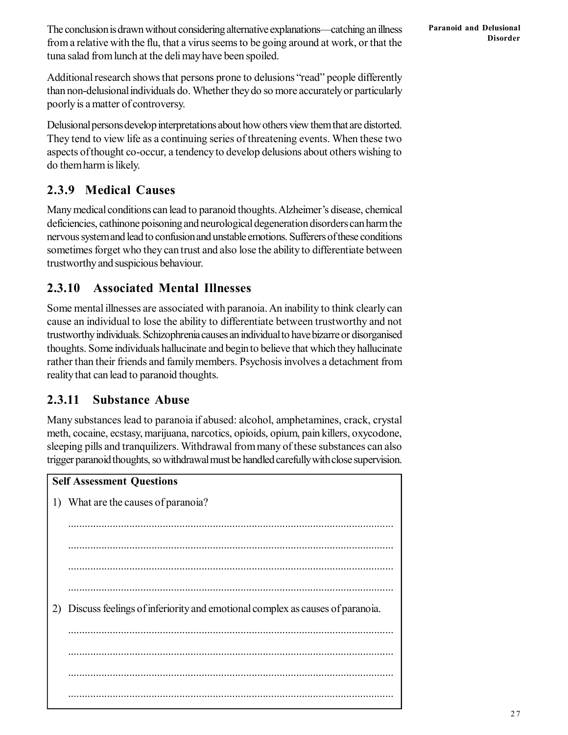The conclusion is drawn without considering alternative explanations—catching an illness from a relative with the flu, that a virus seems to be going around at work, or that the tuna salad from lunch at the deli may have been spoiled.

Additional research shows that persons prone to delusions "read" people differently than non-delusional individuals do. Whether they do so more accurately or particularly poorly is a matter of controversy.

Delusional persons develop interpretations about how others view them that are distorted. They tend to view life as a continuing series of threatening events. When these two aspects of thought co-occur, a tendency to develop delusions about others wishing to do them harm is likely.

# **2.3.9 Medical Causes**

Many medical conditions can lead to paranoid thoughts. Alzheimer's disease, chemical deficiencies, cathinone poisoning and neurological degeneration disorders can harm the nervous system and lead to confusion and unstable emotions. Sufferers of these conditions sometimes forget who they can trust and also lose the ability to differentiate between trustworthy and suspicious behaviour.

# **2.3.10 Associated Mental Illnesses**

Some mental illnesses are associated with paranoia. An inability to think clearly can cause an individual to lose the ability to differentiate between trustworthy and not trustworthy individuals. Schizophrenia causes an individual to have bizarre or disorganised thoughts. Some individuals hallucinate and begin to believe that which they hallucinate rather than their friends and family members. Psychosis involves a detachment from reality that can lead to paranoid thoughts.

# **2.3.11 Substance Abuse**

Many substances lead to paranoia if abused: alcohol, amphetamines, crack, crystal meth, cocaine, ecstasy, marijuana, narcotics, opioids, opium, pain killers, oxycodone, sleeping pills and tranquilizers. Withdrawal from many of these substances can also trigger paranoid thoughts, so withdrawal must be handled carefully with close supervision.

| <b>Self Assessment Questions</b>                                                   |  |  |
|------------------------------------------------------------------------------------|--|--|
| What are the causes of paranoia?<br>1)                                             |  |  |
|                                                                                    |  |  |
|                                                                                    |  |  |
|                                                                                    |  |  |
|                                                                                    |  |  |
| Discuss feelings of inferiority and emotional complex as causes of paranoia.<br>2) |  |  |
|                                                                                    |  |  |
|                                                                                    |  |  |
|                                                                                    |  |  |
|                                                                                    |  |  |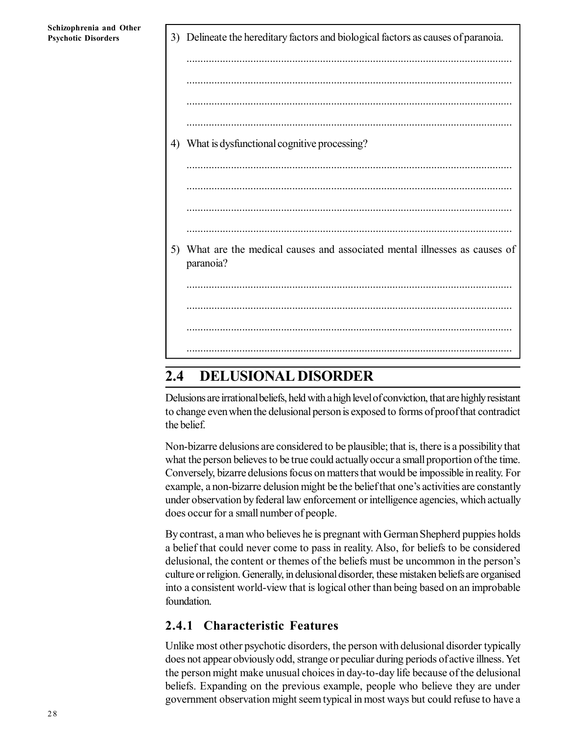3) Delineate the hereditary factors and biological factors as causes of paranoia. ..................................................................................................................... ..................................................................................................................... ..................................................................................................................... ..................................................................................................................... 4) What is dysfunctional cognitive processing? ..................................................................................................................... ..................................................................................................................... ..................................................................................................................... ..................................................................................................................... 5) What are the medical causes and associated mental illnesses as causes of paranoia? ..................................................................................................................... ..................................................................................................................... ..................................................................................................................... .....................................................................................................................

# **2.4 DELUSIONAL DISORDER**

Delusions are irrational beliefs, held with a high level of conviction, that are highly resistant to change even when the delusional person is exposed to forms of proof that contradict the belief.

Non-bizarre delusions are considered to be plausible; that is, there is a possibility that what the person believes to be true could actually occur a small proportion of the time. Conversely, bizarre delusions focus on matters that would be impossible in reality. For example, a non-bizarre delusion might be the belief that one's activities are constantly under observation by federal law enforcement or intelligence agencies, which actually does occur for a small number of people.

By contrast, a man who believes he is pregnant with German Shepherd puppies holds a belief that could never come to pass in reality. Also, for beliefs to be considered delusional, the content or themes of the beliefs must be uncommon in the person's culture or religion. Generally, in delusional disorder, these mistaken beliefs are organised into a consistent world-view that is logical other than being based on an improbable foundation.

# **2.4.1 Characteristic Features**

Unlike most other psychotic disorders, the person with delusional disorder typically does not appear obviously odd, strange or peculiar during periods of active illness. Yet the person might make unusual choices in day-to-day life because of the delusional beliefs. Expanding on the previous example, people who believe they are under government observation might seem typical in most ways but could refuse to have a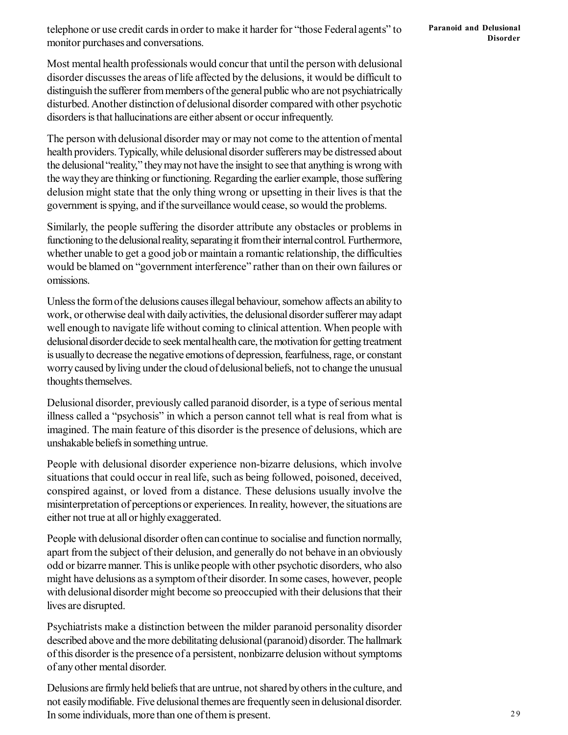Most mental health professionals would concur that until the person with delusional disorder discusses the areas of life affected by the delusions, it would be difficult to distinguish the sufferer from members of the general public who are not psychiatrically disturbed. Another distinction of delusional disorder compared with other psychotic disorders is that hallucinations are either absent or occur infrequently.

The person with delusional disorder may or may not come to the attention of mental health providers. Typically, while delusional disorder sufferers may be distressed about the delusional "reality," they may not have the insight to see that anything is wrong with the way they are thinking or functioning. Regarding the earlier example, those suffering delusion might state that the only thing wrong or upsetting in their lives is that the government is spying, and if the surveillance would cease, so would the problems.

Similarly, the people suffering the disorder attribute any obstacles or problems in functioning to the delusional reality, separating it from their internal control. Furthermore, whether unable to get a good job or maintain a romantic relationship, the difficulties would be blamed on "government interference" rather than on their own failures or omissions.

Unless the form of the delusions causes illegal behaviour, somehow affects an ability to work, or otherwise deal with daily activities, the delusional disorder sufferer may adapt well enough to navigate life without coming to clinical attention. When people with delusional disorder decide to seek mental health care, the motivation for getting treatment is usually to decrease the negative emotions of depression, fearfulness, rage, or constant worry caused by living under the cloud of delusional beliefs, not to change the unusual thoughts themselves.

Delusional disorder, previously called paranoid disorder, is a type of serious mental illness called a "psychosis" in which a person cannot tell what is real from what is imagined. The main feature of this disorder is the presence of delusions, which are unshakable beliefs in something untrue.

People with delusional disorder experience non-bizarre delusions, which involve situations that could occur in real life, such as being followed, poisoned, deceived, conspired against, or loved from a distance. These delusions usually involve the misinterpretation of perceptions or experiences. In reality, however, the situations are either not true at all or highly exaggerated.

People with delusional disorder often can continue to socialise and function normally, apart from the subject of their delusion, and generally do not behave in an obviously odd or bizarre manner. This is unlike people with other psychotic disorders, who also might have delusions as a symptom of their disorder. In some cases, however, people with delusional disorder might become so preoccupied with their delusions that their lives are disrupted.

Psychiatrists make a distinction between the milder paranoid personality disorder described above and the more debilitating delusional (paranoid) disorder. The hallmark of this disorder is the presence of a persistent, nonbizarre delusion without symptoms of any other mental disorder.

Delusions are firmly held beliefs that are untrue, not shared by others in the culture, and not easily modifiable. Five delusional themes are frequently seen in delusional disorder. In some individuals, more than one of them is present.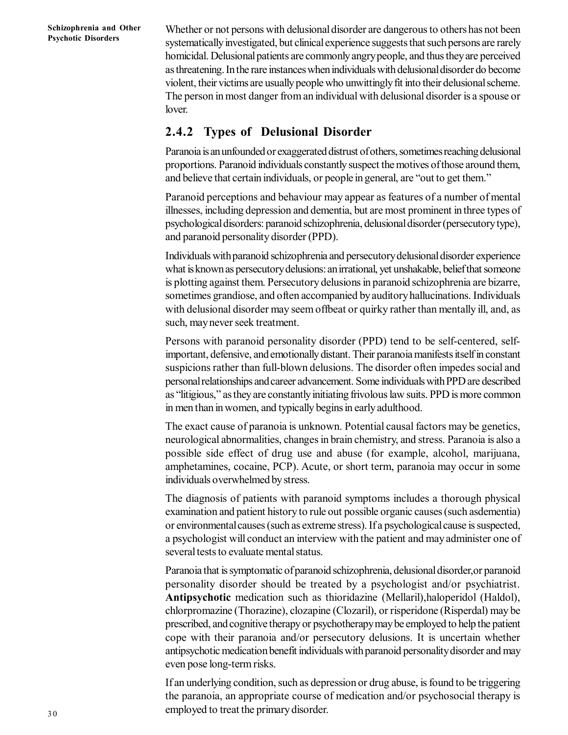Whether or not persons with delusional disorder are dangerous to others has not been systematically investigated, but clinical experience suggests that such persons are rarely homicidal. Delusional patients are commonly angry people, and thus they are perceived as threatening. In the rare instances when individuals with delusional disorder do become violent, their victims are usually people who unwittingly fit into their delusional scheme. The person in most danger from an individual with delusional disorder is a spouse or lover.

### **2.4.2 Types of Delusional Disorder**

Paranoia is an unfounded or exaggerated distrust of others, sometimes reaching delusional proportions. Paranoid individuals constantly suspect the motives of those around them, and believe that certain individuals, or people in general, are "out to get them."

Paranoid perceptions and behaviour may appear as features of a number of mental illnesses, including depression and dementia, but are most prominent in three types of psychological disorders: paranoid schizophrenia, delusional disorder (persecutory type), and paranoid personality disorder (PPD).

Individuals with paranoid schizophrenia and persecutory delusional disorder experience what is known as persecutory delusions: an irrational, yet unshakable, belief that someone is plotting against them. Persecutory delusions in paranoid schizophrenia are bizarre, sometimes grandiose, and often accompanied by auditory hallucinations. Individuals with delusional disorder may seem offbeat or quirky rather than mentally ill, and, as such, may never seek treatment.

Persons with paranoid personality disorder (PPD) tend to be self-centered, selfimportant, defensive, and emotionally distant. Their paranoia manifests itself in constant suspicions rather than full-blown delusions. The disorder often impedes social and personal relationships and career advancement. Some individuals with PPD are described as "litigious," as they are constantly initiating frivolous law suits. PPD is more common in men than in women, and typically begins in early adulthood.

The exact cause of paranoia is unknown. Potential causal factors may be genetics, neurological abnormalities, changes in brain chemistry, and stress. Paranoia is also a possible side effect of drug use and abuse (for example, alcohol, marijuana, amphetamines, cocaine, PCP). Acute, or short term, paranoia may occur in some individuals overwhelmed by stress.

The diagnosis of patients with paranoid symptoms includes a thorough physical examination and patient history to rule out possible organic causes (such asdementia) or environmental causes (such as extreme stress). If a psychological cause is suspected, a psychologist will conduct an interview with the patient and may administer one of several tests to evaluate mental status.

Paranoia that is symptomatic of paranoid schizophrenia, delusional disorder,or paranoid personality disorder should be treated by a psychologist and/or psychiatrist. **Antipsychotic** medication such as thioridazine (Mellaril),haloperidol (Haldol), chlorpromazine (Thorazine), clozapine (Clozaril), or risperidone (Risperdal) may be prescribed, and cognitive therapy or psychotherapy may be employed to help the patient cope with their paranoia and/or persecutory delusions. It is uncertain whether antipsychotic medication benefit individuals with paranoid personality disorder and may even pose long-term risks.

If an underlying condition, such as depression or drug abuse, is found to be triggering the paranoia, an appropriate course of medication and/or psychosocial therapy is employed to treat the primary disorder.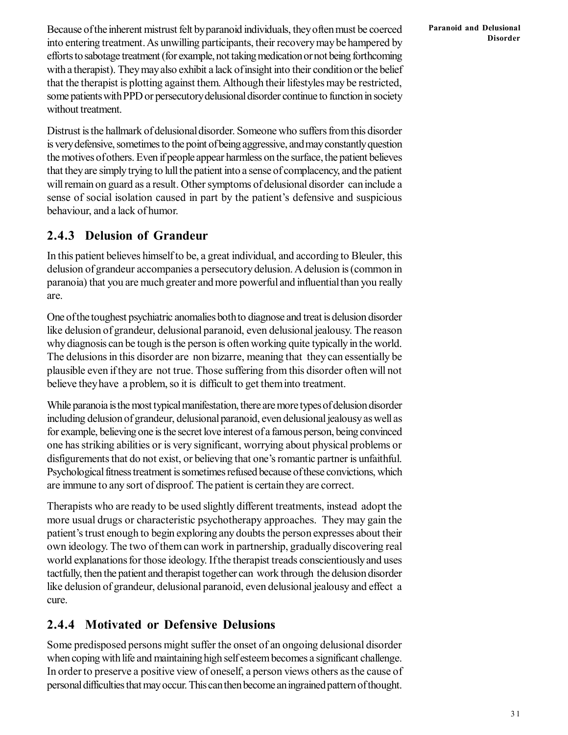Because of the inherent mistrust felt by paranoid individuals, they often must be coerced into entering treatment. As unwilling participants, their recovery may be hampered by efforts to sabotage treatment (for example, not taking medication or not being forthcoming with a therapist). They may also exhibit a lack of insight into their condition or the belief that the therapist is plotting against them. Although their lifestyles may be restricted, some patients with PPD or persecutory delusional disorder continue to function in society without treatment.

Distrust is the hallmark of delusional disorder. Someone who suffers from this disorder is very defensive, sometimes to the point of being aggressive, and may constantly question the motives of others. Even if people appear harmless on the surface, the patient believes that they are simply trying to lull the patient into a sense of complacency, and the patient will remain on guard as a result. Other symptoms of delusional disorder can include a sense of social isolation caused in part by the patient's defensive and suspicious behaviour, and a lack of humor.

# **2.4.3 Delusion of Grandeur**

In this patient believes himself to be, a great individual, and according to Bleuler, this delusion of grandeur accompanies a persecutory delusion. A delusion is (common in paranoia) that you are much greater and more powerful and influential than you really are.

One of the toughest psychiatric anomalies both to diagnose and treat is delusion disorder like delusion of grandeur, delusional paranoid, even delusional jealousy. The reason why diagnosis can be tough is the person is often working quite typically in the world. The delusions in this disorder are non bizarre, meaning that they can essentially be plausible even if they are not true. Those suffering from this disorder often will not believe they have a problem, so it is difficult to get them into treatment.

While paranoia is the most typical manifestation, there are more types of delusion disorder including delusion of grandeur, delusional paranoid, even delusional jealousy as well as for example, believing one is the secret love interest of a famous person, being convinced one has striking abilities or is very significant, worrying about physical problems or disfigurements that do not exist, or believing that one's romantic partner is unfaithful. Psychological fitness treatment is sometimes refused because of these convictions, which are immune to any sort of disproof. The patient is certain they are correct.

Therapists who are ready to be used slightly different treatments, instead adopt the more usual drugs or characteristic psychotherapy approaches. They may gain the patient's trust enough to begin exploring any doubts the person expresses about their own ideology. The two of them can work in partnership, gradually discovering real world explanations for those ideology. If the therapist treads conscientiously and uses tactfully, then the patient and therapist together can work through the delusion disorder like delusion of grandeur, delusional paranoid, even delusional jealousy and effect a cure.

# **2.4.4 Motivated or Defensive Delusions**

Some predisposed persons might suffer the onset of an ongoing delusional disorder when coping with life and maintaining high self esteem becomes a significant challenge. In order to preserve a positive view of oneself, a person views others as the cause of personal difficulties that may occur. This can then become an ingrained pattern of thought.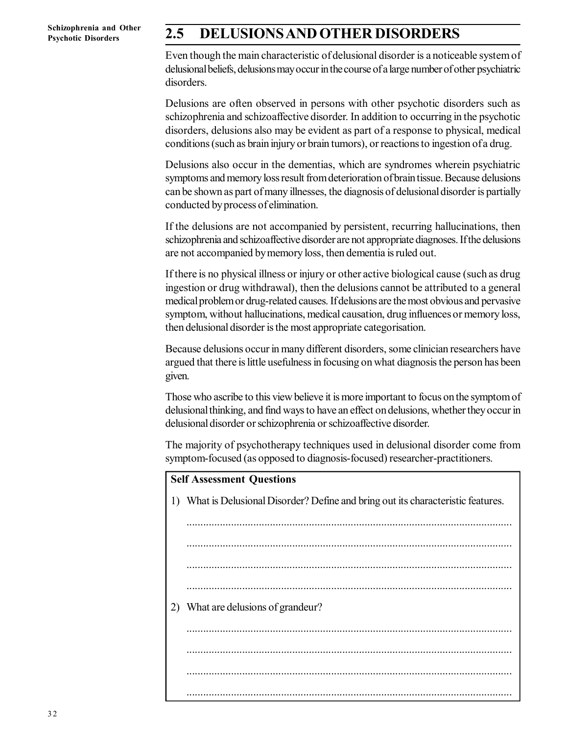# **2.5 DELUSIONS AND OTHER DISORDERS**

Even though the main characteristic of delusional disorder is a noticeable system of delusional beliefs, delusions may occur in the course of a large number of other psychiatric disorders.

Delusions are often observed in persons with other psychotic disorders such as schizophrenia and schizoaffective disorder. In addition to occurring in the psychotic disorders, delusions also may be evident as part of a response to physical, medical conditions (such as brain injury or brain tumors), or reactions to ingestion of a drug.

Delusions also occur in the dementias, which are syndromes wherein psychiatric symptoms and memory loss result from deterioration of brain tissue. Because delusions can be shown as part of many illnesses, the diagnosis of delusional disorder is partially conducted by process of elimination.

If the delusions are not accompanied by persistent, recurring hallucinations, then schizophrenia and schizoaffective disorder are not appropriate diagnoses. If the delusions are not accompanied by memory loss, then dementia is ruled out.

If there is no physical illness or injury or other active biological cause (such as drug ingestion or drug withdrawal), then the delusions cannot be attributed to a general medical problem or drug-related causes. If delusions are the most obvious and pervasive symptom, without hallucinations, medical causation, drug influences or memory loss, then delusional disorder is the most appropriate categorisation.

Because delusions occur in many different disorders, some clinician researchers have argued that there is little usefulness in focusing on what diagnosis the person has been given.

Those who ascribe to this view believe it is more important to focus on the symptom of delusional thinking, and find ways to have an effect on delusions, whether they occur in delusional disorder or schizophrenia or schizoaffective disorder.

The majority of psychotherapy techniques used in delusional disorder come from symptom-focused (as opposed to diagnosis-focused) researcher-practitioners.

| <b>Self Assessment Questions</b> |                                                                                |  |
|----------------------------------|--------------------------------------------------------------------------------|--|
| 1)                               | What is Delusional Disorder? Define and bring out its characteristic features. |  |
|                                  |                                                                                |  |
|                                  |                                                                                |  |
|                                  |                                                                                |  |
|                                  |                                                                                |  |
|                                  | 2) What are delusions of grandeur?                                             |  |
|                                  |                                                                                |  |
|                                  |                                                                                |  |
|                                  |                                                                                |  |
|                                  |                                                                                |  |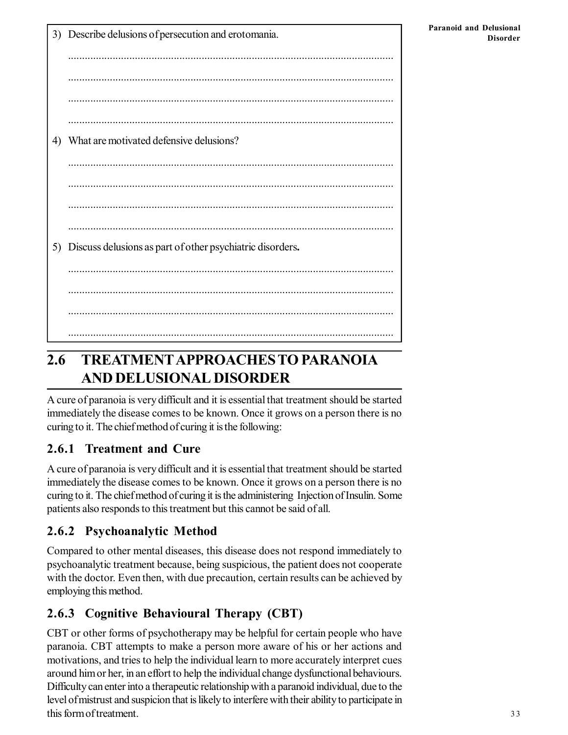3) Describe delusions of persecution and erotomania. ..................................................................................................................... ..................................................................................................................... ..................................................................................................................... 4) What are motivated defensive delusions? ..................................................................................................................... ..................................................................................................................... ..................................................................................................................... 5) Discuss delusions as part of other psychiatric disorders**.** ..................................................................................................................... ..................................................................................................................... ..................................................................................................................... .....................................................................................................................

# **2.6 TREATMENTAPPROACHES TO PARANOIA AND DELUSIONAL DISORDER**

A cure of paranoia is very difficult and it is essential that treatment should be started immediately the disease comes to be known. Once it grows on a person there is no curing to it. The chief method of curing it is the following:

# **2.6.1 Treatment and Cure**

A cure of paranoia is very difficult and it is essential that treatment should be started immediately the disease comes to be known. Once it grows on a person there is no curing to it. The chief method of curing it is the administering Injection of Insulin. Some patients also responds to this treatment but this cannot be said of all.

# **2.6.2 Psychoanalytic Method**

Compared to other mental diseases, this disease does not respond immediately to psychoanalytic treatment because, being suspicious, the patient does not cooperate with the doctor. Even then, with due precaution, certain results can be achieved by employing this method.

# **2.6.3 Cognitive Behavioural Therapy (CBT)**

CBT or other forms of psychotherapy may be helpful for certain people who have paranoia. CBT attempts to make a person more aware of his or her actions and motivations, and tries to help the individual learn to more accurately interpret cues around him or her, in an effort to help the individual change dysfunctional behaviours. Difficulty can enter into a therapeutic relationship with a paranoid individual, due to the level of mistrust and suspicion that is likely to interfere with their ability to participate in this form of treatment.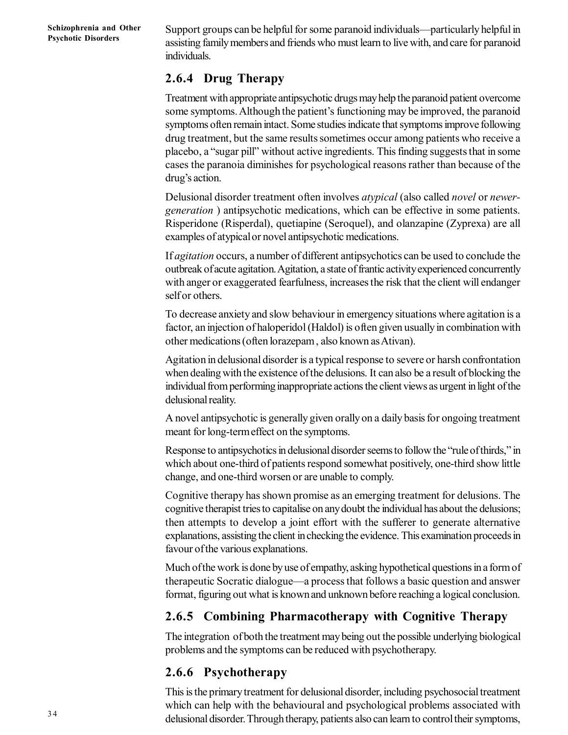Support groups can be helpful for some paranoid individuals—particularly helpful in assisting family members and friends who must learn to live with, and care for paranoid individuals.

# **2.6.4 Drug Therapy**

Treatment with appropriate antipsychotic drugs may help the paranoid patient overcome some symptoms. Although the patient's functioning may be improved, the paranoid symptoms often remain intact. Some studies indicate that symptoms improve following drug treatment, but the same results sometimes occur among patients who receive a placebo, a "sugar pill" without active ingredients. This finding suggests that in some cases the paranoia diminishes for psychological reasons rather than because of the drug's action.

Delusional disorder treatment often involves *atypical* (also called *novel* or *newergeneration* ) antipsychotic medications, which can be effective in some patients. Risperidone (Risperdal), quetiapine (Seroquel), and olanzapine (Zyprexa) are all examples of atypical or novel antipsychotic medications.

If *agitation* occurs, a number of different antipsychotics can be used to conclude the outbreak of acute agitation. Agitation, a state of frantic activity experienced concurrently with anger or exaggerated fearfulness, increases the risk that the client will endanger self or others.

To decrease anxiety and slow behaviour in emergency situations where agitation is a factor, an injection of haloperidol (Haldol) is often given usually in combination with other medications (often lorazepam , also known as Ativan).

Agitation in delusional disorder is a typical response to severe or harsh confrontation when dealing with the existence of the delusions. It can also be a result of blocking the individual from performing inappropriate actions the client views as urgent in light of the delusional reality.

A novel antipsychotic is generally given orally on a daily basis for ongoing treatment meant for long-term effect on the symptoms.

Response to antipsychotics in delusional disorder seems to follow the "rule of thirds," in which about one-third of patients respond somewhat positively, one-third show little change, and one-third worsen or are unable to comply.

Cognitive therapy has shown promise as an emerging treatment for delusions. The cognitive therapist tries to capitalise on any doubt the individual has about the delusions; then attempts to develop a joint effort with the sufferer to generate alternative explanations, assisting the client in checking the evidence. This examination proceeds in favour of the various explanations.

Much of the work is done by use of empathy, asking hypothetical questions in a form of therapeutic Socratic dialogue—a process that follows a basic question and answer format, figuring out what is known and unknown before reaching a logical conclusion.

# **2.6.5 Combining Pharmacotherapy with Cognitive Therapy**

The integration of both the treatment may being out the possible underlying biological problems and the symptoms can be reduced with psychotherapy.

# **2.6.6 Psychotherapy**

This is the primary treatment for delusional disorder, including psychosocial treatment which can help with the behavioural and psychological problems associated with delusional disorder. Through therapy, patients also can learn to control their symptoms,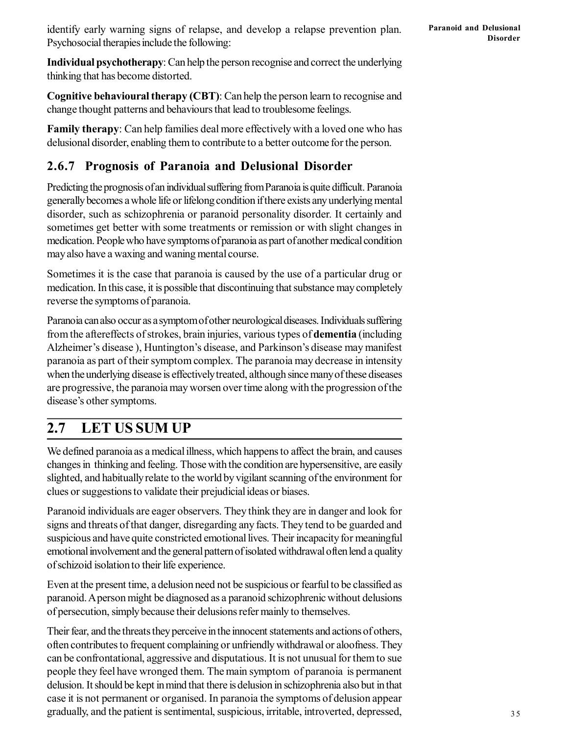**Individual psychotherapy**: Can help the person recognise and correct the underlying thinking that has become distorted.

**Cognitive behavioural therapy (CBT)**: Can help the person learn to recognise and change thought patterns and behaviours that lead to troublesome feelings.

**Family therapy**: Can help families deal more effectively with a loved one who has delusional disorder, enabling them to contribute to a better outcome for the person.

### **2.6.7 Prognosis of Paranoia and Delusional Disorder**

Predicting the prognosis of an individual suffering from Paranoia is quite difficult. Paranoia generally becomes a whole life or lifelong condition if there exists any underlying mental disorder, such as schizophrenia or paranoid personality disorder. It certainly and sometimes get better with some treatments or remission or with slight changes in medication. People who have symptoms of paranoia as part of another medical condition may also have a waxing and waning mental course.

Sometimes it is the case that paranoia is caused by the use of a particular drug or medication. In this case, it is possible that discontinuing that substance may completely reverse the symptoms of paranoia.

Paranoia can also occur as a symptom of other neurological diseases. Individuals suffering from the aftereffects of strokes, brain injuries, various types of **dementia** (including Alzheimer's disease ), Huntington's disease, and Parkinson's disease may manifest paranoia as part of their symptom complex. The paranoia may decrease in intensity when the underlying disease is effectively treated, although since many of these diseases are progressive, the paranoia may worsen over time along with the progression of the disease's other symptoms.

# **2.7 LET US SUM UP**

We defined paranoia as a medical illness, which happens to affect the brain, and causes changes in thinking and feeling. Those with the condition are hypersensitive, are easily slighted, and habitually relate to the world by vigilant scanning of the environment for clues or suggestions to validate their prejudicial ideas or biases.

Paranoid individuals are eager observers. They think they are in danger and look for signs and threats of that danger, disregarding any facts. They tend to be guarded and suspicious and have quite constricted emotional lives. Their incapacity for meaningful emotional involvement and the general pattern of isolated withdrawal often lend a quality of schizoid isolation to their life experience.

Even at the present time, a delusion need not be suspicious or fearful to be classified as paranoid. A person might be diagnosed as a paranoid schizophrenic without delusions of persecution, simply because their delusions refer mainly to themselves.

Their fear, and the threats they perceive in the innocent statements and actions of others, often contributes to frequent complaining or unfriendly withdrawal or aloofness. They can be confrontational, aggressive and disputatious. It is not unusual for them to sue people they feel have wronged them. The main symptom of paranoia is permanent delusion. It should be kept in mind that there is delusion in schizophrenia also but in that case it is not permanent or organised. In paranoia the symptoms of delusion appear gradually, and the patient is sentimental, suspicious, irritable, introverted, depressed,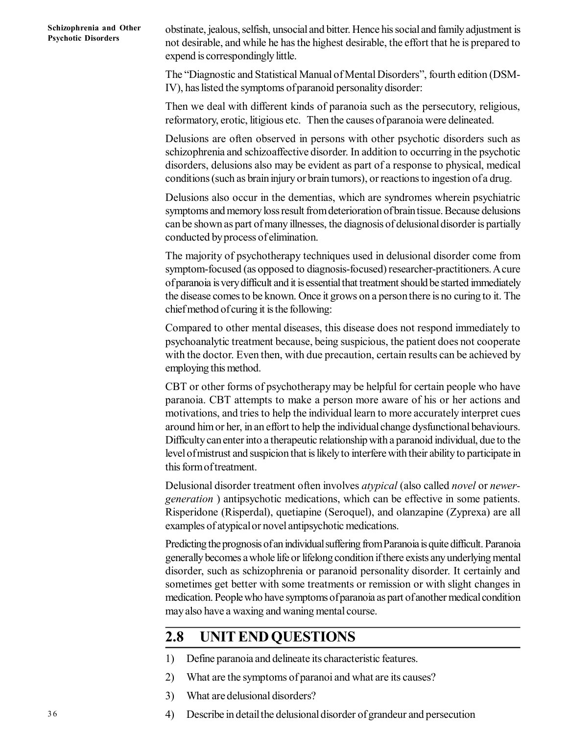obstinate, jealous, selfish, unsocial and bitter. Hence his social and family adjustment is not desirable, and while he has the highest desirable, the effort that he is prepared to expend is correspondingly little.

The "Diagnostic and Statistical Manual of Mental Disorders", fourth edition (DSM-IV), has listed the symptoms of paranoid personality disorder:

Then we deal with different kinds of paranoia such as the persecutory, religious, reformatory, erotic, litigious etc. Then the causes of paranoia were delineated.

Delusions are often observed in persons with other psychotic disorders such as schizophrenia and schizoaffective disorder. In addition to occurring in the psychotic disorders, delusions also may be evident as part of a response to physical, medical conditions (such as brain injury or brain tumors), or reactions to ingestion of a drug.

Delusions also occur in the dementias, which are syndromes wherein psychiatric symptoms and memory loss result from deterioration of brain tissue. Because delusions can be shown as part of many illnesses, the diagnosis of delusional disorder is partially conducted by process of elimination.

The majority of psychotherapy techniques used in delusional disorder come from symptom-focused (as opposed to diagnosis-focused) researcher-practitioners. A cure of paranoia is very difficult and it is essential that treatment should be started immediately the disease comes to be known. Once it grows on a person there is no curing to it. The chief method of curing it is the following:

Compared to other mental diseases, this disease does not respond immediately to psychoanalytic treatment because, being suspicious, the patient does not cooperate with the doctor. Even then, with due precaution, certain results can be achieved by employing this method.

CBT or other forms of psychotherapy may be helpful for certain people who have paranoia. CBT attempts to make a person more aware of his or her actions and motivations, and tries to help the individual learn to more accurately interpret cues around him or her, in an effort to help the individual change dysfunctional behaviours. Difficulty can enter into a therapeutic relationship with a paranoid individual, due to the level of mistrust and suspicion that is likely to interfere with their ability to participate in this form of treatment.

Delusional disorder treatment often involves *atypical* (also called *novel* or *newergeneration* ) antipsychotic medications, which can be effective in some patients. Risperidone (Risperdal), quetiapine (Seroquel), and olanzapine (Zyprexa) are all examples of atypical or novel antipsychotic medications.

Predicting the prognosis of an individual suffering from Paranoia is quite difficult. Paranoia generally becomes a whole life or lifelong condition if there exists any underlying mental disorder, such as schizophrenia or paranoid personality disorder. It certainly and sometimes get better with some treatments or remission or with slight changes in medication. People who have symptoms of paranoia as part of another medical condition may also have a waxing and waning mental course.

# **2.8 UNIT END QUESTIONS**

- 1) Define paranoia and delineate its characteristic features.
- 2) What are the symptoms of paranoi and what are its causes?
- 3) What are delusional disorders?
- 4) Describe in detail the delusional disorder of grandeur and persecution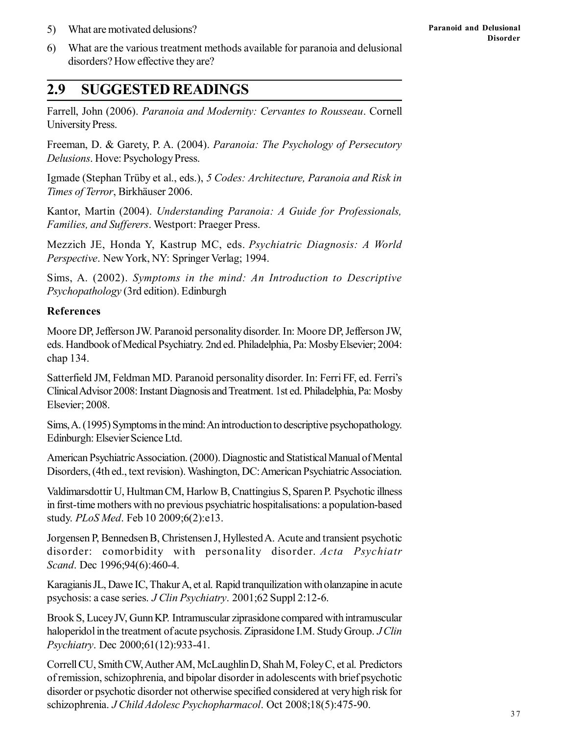5) What are motivated delusions?

6) What are the various treatment methods available for paranoia and delusional disorders? How effective they are?

# **2.9 SUGGESTED READINGS**

Farrell, John (2006). *Paranoia and Modernity: Cervantes to Rousseau*. Cornell University Press.

Freeman, D. & Garety, P. A. (2004). *Paranoia: The Psychology of Persecutory Delusions*. Hove: Psychology Press.

Igmade (Stephan Trüby et al., eds.), *5 Codes: Architecture, Paranoia and Risk in Times of Terror*, Birkhäuser 2006.

Kantor, Martin (2004). *Understanding Paranoia: A Guide for Professionals, Families, and Sufferers*. Westport: Praeger Press.

Mezzich JE, Honda Y, Kastrup MC, eds. *Psychiatric Diagnosis: A World Perspective*. New York, NY: Springer Verlag; 1994.

Sims, A. (2002). *Symptoms in the mind: An Introduction to Descriptive Psychopathology* (3rd edition). Edinburgh

#### **References**

Moore DP, Jefferson JW. Paranoid personality disorder. In: Moore DP, Jefferson JW, eds. Handbook of Medical Psychiatry. 2nd ed. Philadelphia, Pa: Mosby Elsevier; 2004: chap 134.

Satterfield JM, Feldman MD. Paranoid personality disorder. In: Ferri FF, ed. Ferri's Clinical Advisor 2008: Instant Diagnosis and Treatment. 1st ed. Philadelphia, Pa: Mosby Elsevier; 2008.

Sims, A. (1995) Symptoms in the mind: An introduction to descriptive psychopathology. Edinburgh: Elsevier Science Ltd.

American Psychiatric Association. (2000). Diagnostic and Statistical Manual of Mental Disorders, (4th ed., text revision). Washington, DC: American Psychiatric Association.

Valdimarsdottir U, Hultman CM, Harlow B, Cnattingius S, Sparen P. Psychotic illness in first-time mothers with no previous psychiatric hospitalisations: a population-based study. *PLoS Med*. Feb 10 2009;6(2):e13.

Jorgensen P, Bennedsen B, Christensen J, Hyllested A. Acute and transient psychotic disorder: comorbidity with personality disorder. *Acta Psychiatr Scand*. Dec 1996;94(6):460-4.

Karagianis JL, Dawe IC, Thakur A, et al. Rapid tranquilization with olanzapine in acute psychosis: a case series. *J Clin Psychiatry*. 2001;62 Suppl 2:12-6.

Brook S, Lucey JV, Gunn KP. Intramuscular ziprasidone compared with intramuscular haloperidol in the treatment of acute psychosis. Ziprasidone I.M. Study Group. *J Clin Psychiatry*. Dec 2000;61(12):933-41.

Correll CU, Smith CW, Auther AM, McLaughlin D, Shah M, Foley C, et al. Predictors of remission, schizophrenia, and bipolar disorder in adolescents with brief psychotic disorder or psychotic disorder not otherwise specified considered at very high risk for schizophrenia. *J Child Adolesc Psychopharmacol*. Oct 2008;18(5):475-90.